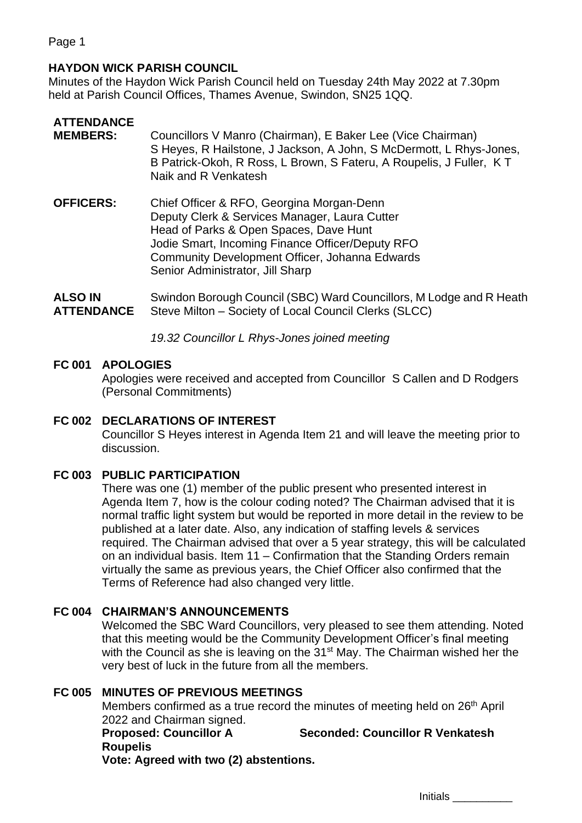Page 1

## **HAYDON WICK PARISH COUNCIL**

Minutes of the Haydon Wick Parish Council held on Tuesday 24th May 2022 at 7.30pm held at Parish Council Offices, Thames Avenue, Swindon, SN25 1QQ.

# **ATTENDANCE**

- **MEMBERS:** Councillors V Manro (Chairman), E Baker Lee (Vice Chairman) S Heyes, R Hailstone, J Jackson, A John, S McDermott, L Rhys-Jones, B Patrick-Okoh, R Ross, L Brown, S Fateru, A Roupelis, J Fuller, K T Naik and R Venkatesh
- **OFFICERS:** Chief Officer & RFO, Georgina Morgan-Denn Deputy Clerk & Services Manager, Laura Cutter Head of Parks & Open Spaces, Dave Hunt Jodie Smart, Incoming Finance Officer/Deputy RFO Community Development Officer, Johanna Edwards Senior Administrator, Jill Sharp

**ALSO IN ATTENDANCE** Swindon Borough Council (SBC) Ward Councillors, M Lodge and R Heath Steve Milton – Society of Local Council Clerks (SLCC)

*19.32 Councillor L Rhys-Jones joined meeting*

### **FC 001 APOLOGIES**

Apologies were received and accepted from Councillor S Callen and D Rodgers (Personal Commitments)

### **FC 002 DECLARATIONS OF INTEREST**

Councillor S Heyes interest in Agenda Item 21 and will leave the meeting prior to discussion.

### **FC 003 PUBLIC PARTICIPATION**

There was one (1) member of the public present who presented interest in Agenda Item 7, how is the colour coding noted? The Chairman advised that it is normal traffic light system but would be reported in more detail in the review to be published at a later date. Also, any indication of staffing levels & services required. The Chairman advised that over a 5 year strategy, this will be calculated on an individual basis. Item 11 – Confirmation that the Standing Orders remain virtually the same as previous years, the Chief Officer also confirmed that the Terms of Reference had also changed very little.

### **FC 004 CHAIRMAN'S ANNOUNCEMENTS**

Welcomed the SBC Ward Councillors, very pleased to see them attending. Noted that this meeting would be the Community Development Officer's final meeting with the Council as she is leaving on the 31<sup>st</sup> May. The Chairman wished her the very best of luck in the future from all the members.

### **FC 005 MINUTES OF PREVIOUS MEETINGS**

Members confirmed as a true record the minutes of meeting held on 26<sup>th</sup> April 2022 and Chairman signed. **Proposed: Councillor A Roupelis Seconded: Councillor R Venkatesh**

**Vote: Agreed with two (2) abstentions.**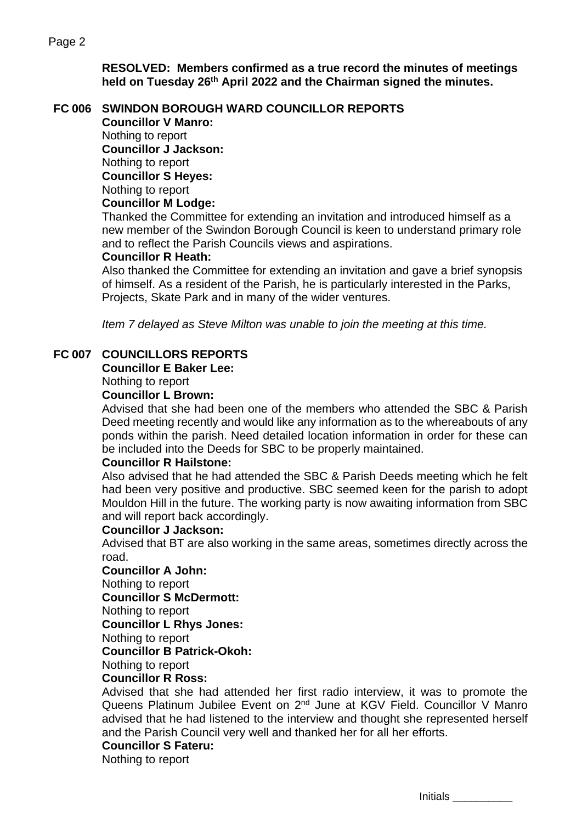**RESOLVED: Members confirmed as a true record the minutes of meetings held on Tuesday 26th April 2022 and the Chairman signed the minutes.**

# **FC 006 SWINDON BOROUGH WARD COUNCILLOR REPORTS**

**Councillor V Manro:** Nothing to report **Councillor J Jackson:** Nothing to report **Councillor S Heyes:** Nothing to report **Councillor M Lodge:**

Thanked the Committee for extending an invitation and introduced himself as a new member of the Swindon Borough Council is keen to understand primary role and to reflect the Parish Councils views and aspirations.

### **Councillor R Heath:**

Also thanked the Committee for extending an invitation and gave a brief synopsis of himself. As a resident of the Parish, he is particularly interested in the Parks, Projects, Skate Park and in many of the wider ventures.

*Item 7 delayed as Steve Milton was unable to join the meeting at this time.*

## **FC 007 COUNCILLORS REPORTS**

### **Councillor E Baker Lee:**

Nothing to report

### **Councillor L Brown:**

Advised that she had been one of the members who attended the SBC & Parish Deed meeting recently and would like any information as to the whereabouts of any ponds within the parish. Need detailed location information in order for these can be included into the Deeds for SBC to be properly maintained.

### **Councillor R Hailstone:**

Also advised that he had attended the SBC & Parish Deeds meeting which he felt had been very positive and productive. SBC seemed keen for the parish to adopt Mouldon Hill in the future. The working party is now awaiting information from SBC and will report back accordingly.

#### **Councillor J Jackson:**

Advised that BT are also working in the same areas, sometimes directly across the road.

#### **Councillor A John:**

Nothing to report

**Councillor S McDermott:**

Nothing to report

**Councillor L Rhys Jones:**

Nothing to report

**Councillor B Patrick-Okoh:**

### Nothing to report

### **Councillor R Ross:**

Advised that she had attended her first radio interview, it was to promote the Queens Platinum Jubilee Event on 2<sup>nd</sup> June at KGV Field. Councillor V Manro advised that he had listened to the interview and thought she represented herself and the Parish Council very well and thanked her for all her efforts.

### **Councillor S Fateru:**

Nothing to report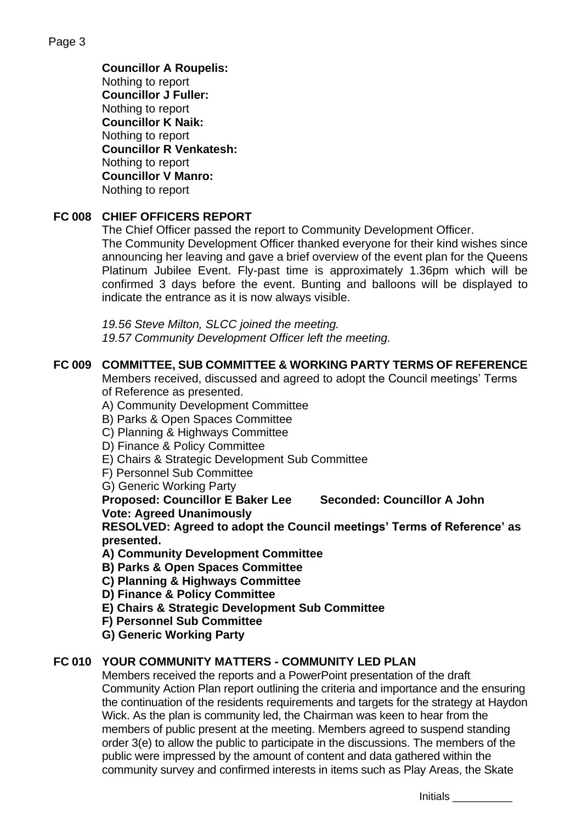**Councillor A Roupelis:** Nothing to report **Councillor J Fuller:** Nothing to report **Councillor K Naik:** Nothing to report **Councillor R Venkatesh:** Nothing to report **Councillor V Manro:** Nothing to report

# **FC 008 CHIEF OFFICERS REPORT**

The Chief Officer passed the report to Community Development Officer.

The Community Development Officer thanked everyone for their kind wishes since announcing her leaving and gave a brief overview of the event plan for the Queens Platinum Jubilee Event. Fly-past time is approximately 1.36pm which will be confirmed 3 days before the event. Bunting and balloons will be displayed to indicate the entrance as it is now always visible.

*19.56 Steve Milton, SLCC joined the meeting. 19.57 Community Development Officer left the meeting.*

# **FC 009 COMMITTEE, SUB COMMITTEE & WORKING PARTY TERMS OF REFERENCE**

Members received, discussed and agreed to adopt the Council meetings' Terms of Reference as presented.

A) Community Development Committee

B) Parks & Open Spaces Committee

C) Planning & Highways Committee

D) Finance & Policy Committee

E) Chairs & Strategic Development Sub Committee

F) Personnel Sub Committee

G) Generic Working Party

**Proposed: Councillor E Baker Lee Seconded: Councillor A John Vote: Agreed Unanimously** 

**RESOLVED: Agreed to adopt the Council meetings' Terms of Reference' as presented.**

**A) Community Development Committee**

**B) Parks & Open Spaces Committee**

**C) Planning & Highways Committee**

**D) Finance & Policy Committee**

**E) Chairs & Strategic Development Sub Committee**

**F) Personnel Sub Committee**

**G) Generic Working Party**

### **FC 010 YOUR COMMUNITY MATTERS - COMMUNITY LED PLAN**

Members received the reports and a PowerPoint presentation of the draft Community Action Plan report outlining the criteria and importance and the ensuring the continuation of the residents requirements and targets for the strategy at Haydon Wick. As the plan is community led, the Chairman was keen to hear from the members of public present at the meeting. Members agreed to suspend standing order 3(e) to allow the public to participate in the discussions. The members of the public were impressed by the amount of content and data gathered within the community survey and confirmed interests in items such as Play Areas, the Skate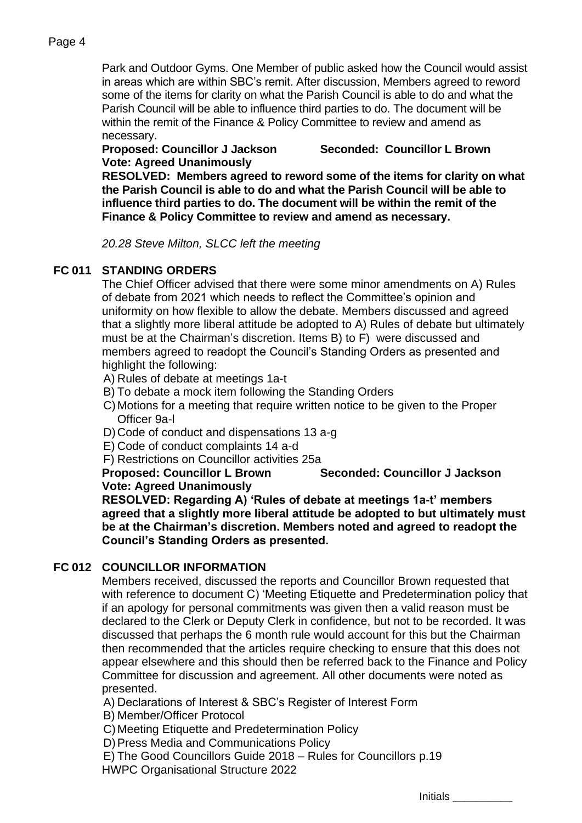### Page 4

Park and Outdoor Gyms. One Member of public asked how the Council would assist in areas which are within SBC's remit. After discussion, Members agreed to reword some of the items for clarity on what the Parish Council is able to do and what the Parish Council will be able to influence third parties to do. The document will be within the remit of the Finance & Policy Committee to review and amend as necessary.

**Vote: Agreed Unanimously**

**Proposed: Councillor J Jackson Seconded: Councillor L Brown**

**RESOLVED: Members agreed to reword some of the items for clarity on what the Parish Council is able to do and what the Parish Council will be able to influence third parties to do. The document will be within the remit of the Finance & Policy Committee to review and amend as necessary.**

*20.28 Steve Milton, SLCC left the meeting*

## **FC 011 STANDING ORDERS**

The Chief Officer advised that there were some minor amendments on A) Rules of debate from 2021 which needs to reflect the Committee's opinion and uniformity on how flexible to allow the debate. Members discussed and agreed that a slightly more liberal attitude be adopted to A) Rules of debate but ultimately must be at the Chairman's discretion. Items B) to F) were discussed and members agreed to readopt the Council's Standing Orders as presented and highlight the following:

- A) Rules of debate at meetings 1a-t
- B) To debate a mock item following the Standing Orders
- C)Motions for a meeting that require written notice to be given to the Proper Officer 9a-l
- D)Code of conduct and dispensations 13 a-g
- E) Code of conduct complaints 14 a-d
- F) Restrictions on Councillor activities 25a

**Proposed: Councillor L Brown Seconded: Councillor J Jackson Vote: Agreed Unanimously** 

**RESOLVED: Regarding A) 'Rules of debate at meetings 1a-t' members agreed that a slightly more liberal attitude be adopted to but ultimately must be at the Chairman's discretion. Members noted and agreed to readopt the Council's Standing Orders as presented.**

### **FC 012 COUNCILLOR INFORMATION**

Members received, discussed the reports and Councillor Brown requested that with reference to document C) 'Meeting Etiquette and Predetermination policy that if an apology for personal commitments was given then a valid reason must be declared to the Clerk or Deputy Clerk in confidence, but not to be recorded. It was discussed that perhaps the 6 month rule would account for this but the Chairman then recommended that the articles require checking to ensure that this does not appear elsewhere and this should then be referred back to the Finance and Policy Committee for discussion and agreement. All other documents were noted as presented.

A) Declarations of Interest & SBC's Register of Interest Form

B) Member/Officer Protocol

C)Meeting Etiquette and Predetermination Policy

D) Press Media and Communications Policy

E) The Good Councillors Guide 2018 – Rules for Councillors p.19 HWPC Organisational Structure 2022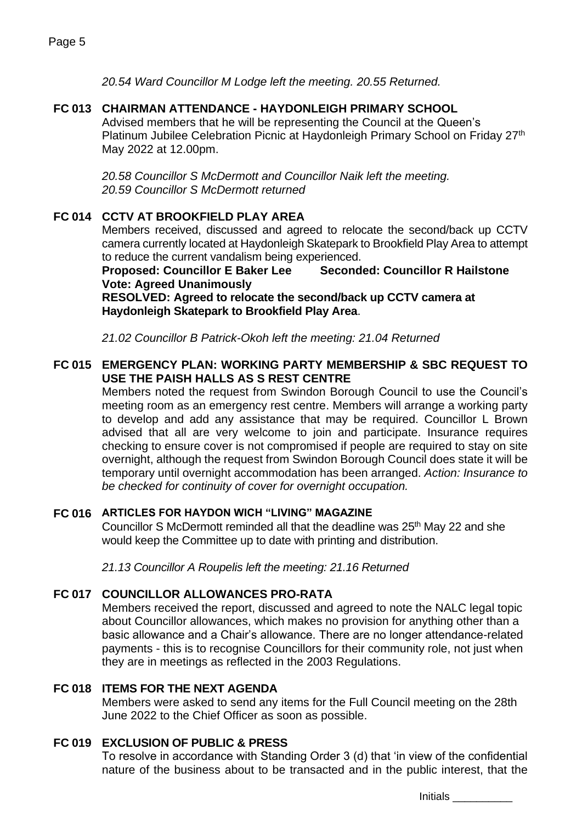*20.54 Ward Councillor M Lodge left the meeting. 20.55 Returned.*

## **FC 013 CHAIRMAN ATTENDANCE - HAYDONLEIGH PRIMARY SCHOOL**

Advised members that he will be representing the Council at the Queen's Platinum Jubilee Celebration Picnic at Haydonleigh Primary School on Friday 27<sup>th</sup> May 2022 at 12.00pm.

*20.58 Councillor S McDermott and Councillor Naik left the meeting. 20.59 Councillor S McDermott returned*

# **FC 014 CCTV AT BROOKFIELD PLAY AREA**

Members received, discussed and agreed to relocate the second/back up CCTV camera currently located at Haydonleigh Skatepark to Brookfield Play Area to attempt to reduce the current vandalism being experienced.

**Proposed: Councillor E Baker Lee Seconded: Councillor R Hailstone Vote: Agreed Unanimously**

**RESOLVED: Agreed to relocate the second/back up CCTV camera at Haydonleigh Skatepark to Brookfield Play Area**.

*21.02 Councillor B Patrick-Okoh left the meeting: 21.04 Returned*

### **FC 015 EMERGENCY PLAN: WORKING PARTY MEMBERSHIP & SBC REQUEST TO USE THE PAISH HALLS AS S REST CENTRE**

Members noted the request from Swindon Borough Council to use the Council's meeting room as an emergency rest centre. Members will arrange a working party to develop and add any assistance that may be required. Councillor L Brown advised that all are very welcome to join and participate. Insurance requires checking to ensure cover is not compromised if people are required to stay on site overnight, although the request from Swindon Borough Council does state it will be temporary until overnight accommodation has been arranged. *Action: Insurance to be checked for continuity of cover for overnight occupation.*

### **FC 016 ARTICLES FOR HAYDON WICH "LIVING" MAGAZINE**

Councillor S McDermott reminded all that the deadline was 25<sup>th</sup> May 22 and she would keep the Committee up to date with printing and distribution.

*21.13 Councillor A Roupelis left the meeting: 21.16 Returned*

# **FC 017 COUNCILLOR ALLOWANCES PRO-RATA**

Members received the report, discussed and agreed to note the NALC legal topic about Councillor allowances, which makes no provision for anything other than a basic allowance and a Chair's allowance. There are no longer attendance-related payments - this is to recognise Councillors for their community role, not just when they are in meetings as reflected in the 2003 Regulations.

### **FC 018 ITEMS FOR THE NEXT AGENDA**

Members were asked to send any items for the Full Council meeting on the 28th June 2022 to the Chief Officer as soon as possible.

### **FC 019 EXCLUSION OF PUBLIC & PRESS**

To resolve in accordance with Standing Order 3 (d) that 'in view of the confidential nature of the business about to be transacted and in the public interest, that the